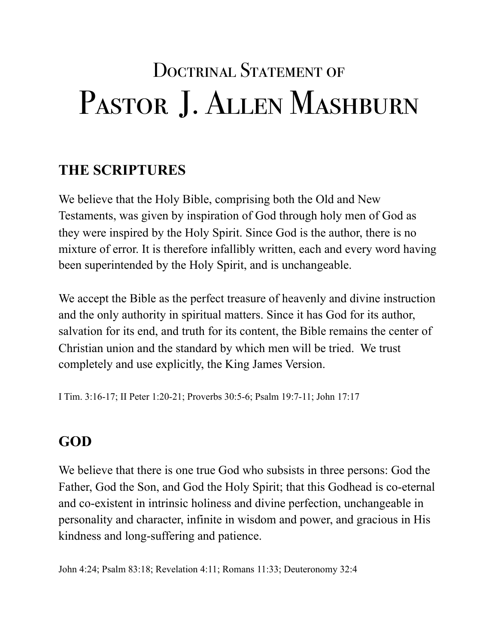# DOCTRINAL STATEMENT OF PASTOR J. ALLEN MASHBURN

# **THE SCRIPTURES**

We believe that the Holy Bible, comprising both the Old and New Testaments, was given by inspiration of God through holy men of God as they were inspired by the Holy Spirit. Since God is the author, there is no mixture of error. It is therefore infallibly written, each and every word having been superintended by the Holy Spirit, and is unchangeable.

We accept the Bible as the perfect treasure of heavenly and divine instruction and the only authority in spiritual matters. Since it has God for its author, salvation for its end, and truth for its content, the Bible remains the center of Christian union and the standard by which men will be tried. We trust completely and use explicitly, the King James Version.

I Tim. 3:16-17; II Peter 1:20-21; Proverbs 30:5-6; Psalm 19:7-11; John 17:17

# **GOD**

We believe that there is one true God who subsists in three persons: God the Father, God the Son, and God the Holy Spirit; that this Godhead is co-eternal and co-existent in intrinsic holiness and divine perfection, unchangeable in personality and character, infinite in wisdom and power, and gracious in His kindness and long-suffering and patience.

John 4:24; Psalm 83:18; Revelation 4:11; Romans 11:33; Deuteronomy 32:4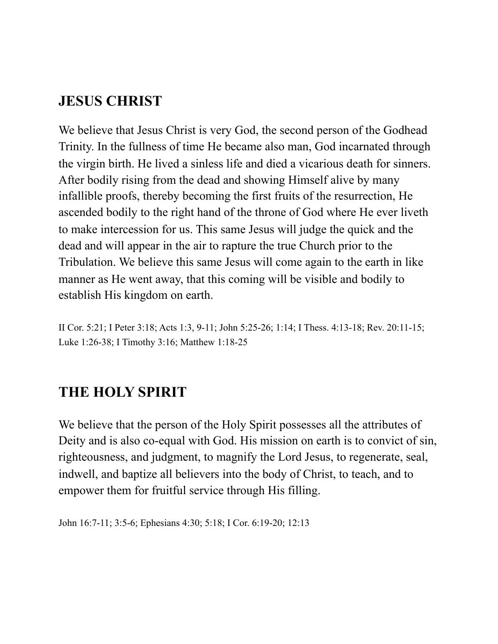## **JESUS CHRIST**

We believe that Jesus Christ is very God, the second person of the Godhead Trinity. In the fullness of time He became also man, God incarnated through the virgin birth. He lived a sinless life and died a vicarious death for sinners. After bodily rising from the dead and showing Himself alive by many infallible proofs, thereby becoming the first fruits of the resurrection, He ascended bodily to the right hand of the throne of God where He ever liveth to make intercession for us. This same Jesus will judge the quick and the dead and will appear in the air to rapture the true Church prior to the Tribulation. We believe this same Jesus will come again to the earth in like manner as He went away, that this coming will be visible and bodily to establish His kingdom on earth.

II Cor. 5:21; I Peter 3:18; Acts 1:3, 9-11; John 5:25-26; 1:14; I Thess. 4:13-18; Rev. 20:11-15; Luke 1:26-38; I Timothy 3:16; Matthew 1:18-25

## **THE HOLY SPIRIT**

We believe that the person of the Holy Spirit possesses all the attributes of Deity and is also co-equal with God. His mission on earth is to convict of sin, righteousness, and judgment, to magnify the Lord Jesus, to regenerate, seal, indwell, and baptize all believers into the body of Christ, to teach, and to empower them for fruitful service through His filling.

John 16:7-11; 3:5-6; Ephesians 4:30; 5:18; I Cor. 6:19-20; 12:13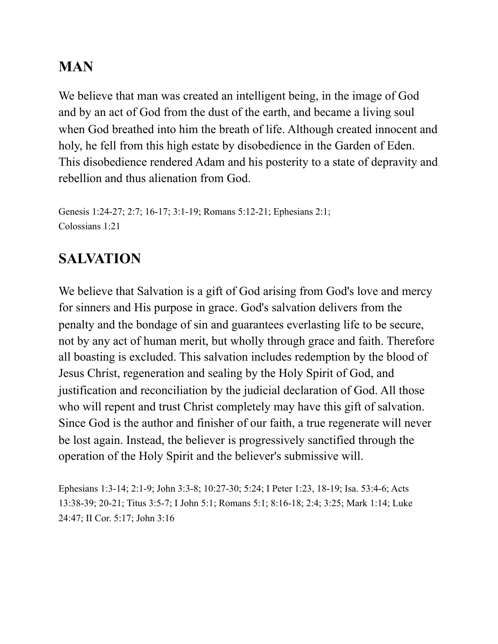## **MAN**

We believe that man was created an intelligent being, in the image of God and by an act of God from the dust of the earth, and became a living soul when God breathed into him the breath of life. Although created innocent and holy, he fell from this high estate by disobedience in the Garden of Eden. This disobedience rendered Adam and his posterity to a state of depravity and rebellion and thus alienation from God.

```
Genesis 1:24-27; 2:7; 16-17; 3:1-19; Romans 5:12-21; Ephesians 2:1; 
Colossians 1:21
```
# **SALVATION**

We believe that Salvation is a gift of God arising from God's love and mercy for sinners and His purpose in grace. God's salvation delivers from the penalty and the bondage of sin and guarantees everlasting life to be secure, not by any act of human merit, but wholly through grace and faith. Therefore all boasting is excluded. This salvation includes redemption by the blood of Jesus Christ, regeneration and sealing by the Holy Spirit of God, and justification and reconciliation by the judicial declaration of God. All those who will repent and trust Christ completely may have this gift of salvation. Since God is the author and finisher of our faith, a true regenerate will never be lost again. Instead, the believer is progressively sanctified through the operation of the Holy Spirit and the believer's submissive will.

Ephesians 1:3-14; 2:1-9; John 3:3-8; 10:27-30; 5:24; I Peter 1:23, 18-19; Isa. 53:4-6; Acts 13:38-39; 20-21; Titus 3:5-7; I John 5:1; Romans 5:1; 8:16-18; 2:4; 3:25; Mark 1:14; Luke 24:47; II Cor. 5:17; John 3:16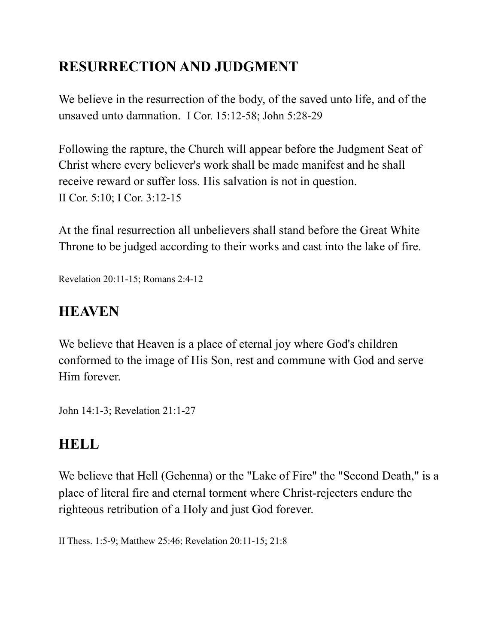## **RESURRECTION AND JUDGMENT**

We believe in the resurrection of the body, of the saved unto life, and of the unsaved unto damnation. I Cor. 15:12-58; John 5:28-29

Following the rapture, the Church will appear before the Judgment Seat of Christ where every believer's work shall be made manifest and he shall receive reward or suffer loss. His salvation is not in question. II Cor. 5:10; I Cor. 3:12-15

At the final resurrection all unbelievers shall stand before the Great White Throne to be judged according to their works and cast into the lake of fire.

Revelation 20:11-15; Romans 2:4-12

## **HEAVEN**

We believe that Heaven is a place of eternal joy where God's children conformed to the image of His Son, rest and commune with God and serve Him forever.

John 14:1-3; Revelation 21:1-27

#### **HELL**

We believe that Hell (Gehenna) or the "Lake of Fire" the "Second Death," is a place of literal fire and eternal torment where Christ-rejecters endure the righteous retribution of a Holy and just God forever.

II Thess. 1:5-9; Matthew 25:46; Revelation 20:11-15; 21:8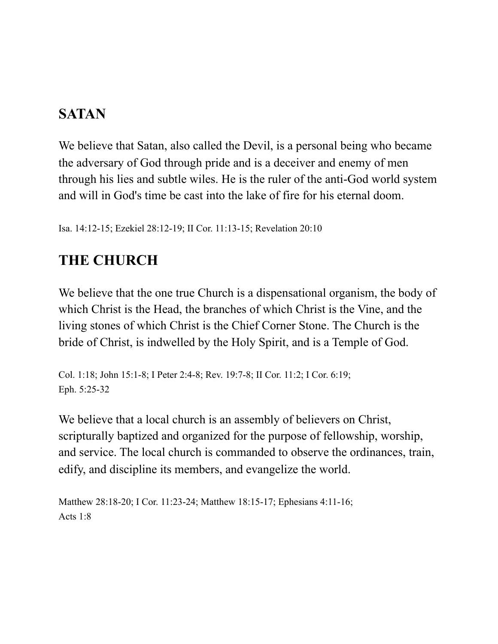## **SATAN**

We believe that Satan, also called the Devil, is a personal being who became the adversary of God through pride and is a deceiver and enemy of men through his lies and subtle wiles. He is the ruler of the anti-God world system and will in God's time be cast into the lake of fire for his eternal doom.

Isa. 14:12-15; Ezekiel 28:12-19; II Cor. 11:13-15; Revelation 20:10

## **THE CHURCH**

We believe that the one true Church is a dispensational organism, the body of which Christ is the Head, the branches of which Christ is the Vine, and the living stones of which Christ is the Chief Corner Stone. The Church is the bride of Christ, is indwelled by the Holy Spirit, and is a Temple of God.

Col. 1:18; John 15:1-8; I Peter 2:4-8; Rev. 19:7-8; II Cor. 11:2; I Cor. 6:19; Eph. 5:25-32

We believe that a local church is an assembly of believers on Christ, scripturally baptized and organized for the purpose of fellowship, worship, and service. The local church is commanded to observe the ordinances, train, edify, and discipline its members, and evangelize the world.

```
Matthew 28:18-20; I Cor. 11:23-24; Matthew 18:15-17; Ephesians 4:11-16; 
Acts 1:8
```